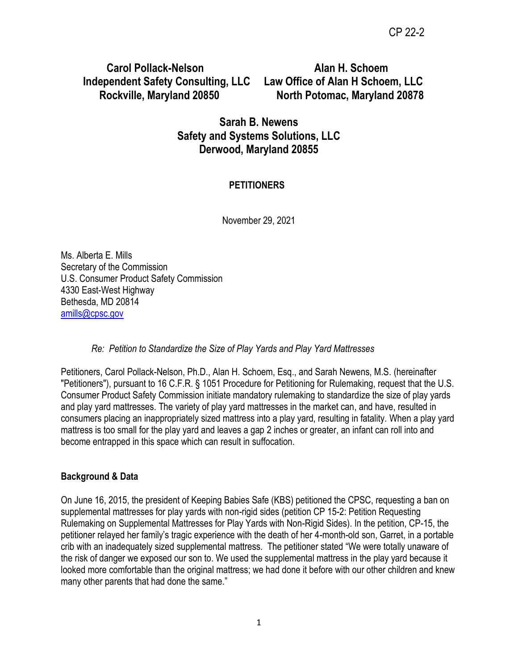**Carol Pollack-Nelson Alan H. Schoem Independent Safety Consulting, LLC Law Office of Alan H Schoem, LLC**

 **Rockville, Maryland 20850 North Potomac, Maryland 20878**

## **Sarah B. Newens Safety and Systems Solutions, LLC Derwood, Maryland 20855**

## **PETITIONERS**

November 29, 2021

Ms. Alberta E. Mills Secretary of the Commission U.S. Consumer Product Safety Commission 4330 East-West Highway Bethesda, MD 20814 [amills@cpsc.gov](mailto:amills@cpsc.gov)

*Re: Petition to Standardize the Size of Play Yards and Play Yard Mattresses* 

Petitioners, Carol Pollack-Nelson, Ph.D., Alan H. Schoem, Esq., and Sarah Newens, M.S. (hereinafter "Petitioners"), pursuant to 16 C.F.R. § 1051 Procedure for Petitioning for Rulemaking, request that the U.S. Consumer Product Safety Commission initiate mandatory rulemaking to standardize the size of play yards and play yard mattresses. The variety of play yard mattresses in the market can, and have, resulted in consumers placing an inappropriately sized mattress into a play yard, resulting in fatality. When a play yard mattress is too small for the play yard and leaves a gap 2 inches or greater, an infant can roll into and become entrapped in this space which can result in suffocation.

## **Background & Data**

On June 16, 2015, the president of Keeping Babies Safe (KBS) petitioned the CPSC, requesting a ban on supplemental mattresses for play yards with non-rigid sides (petition CP 15-2: Petition Requesting Rulemaking on Supplemental Mattresses for Play Yards with Non-Rigid Sides). In the petition, CP-15, the petitioner relayed her family's tragic experience with the death of her 4-month-old son, Garret, in a portable crib with an inadequately sized supplemental mattress. The petitioner stated "We were totally unaware of the risk of danger we exposed our son to. We used the supplemental mattress in the play yard because it looked more comfortable than the original mattress; we had done it before with our other children and knew many other parents that had done the same."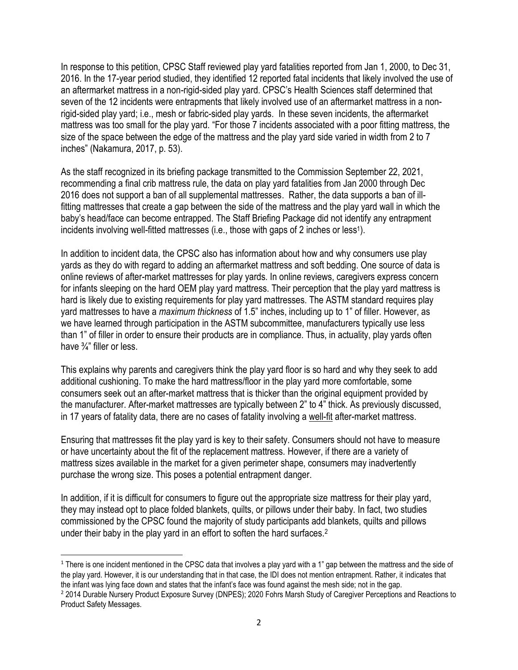In response to this petition, CPSC Staff reviewed play yard fatalities reported from Jan 1, 2000, to Dec 31, 2016. In the 17-year period studied, they identified 12 reported fatal incidents that likely involved the use of an aftermarket mattress in a non-rigid-sided play yard. CPSC's Health Sciences staff determined that seven of the 12 incidents were entrapments that likely involved use of an aftermarket mattress in a nonrigid-sided play yard; i.e., mesh or fabric-sided play yards. In these seven incidents, the aftermarket mattress was too small for the play yard. "For those 7 incidents associated with a poor fitting mattress, the size of the space between the edge of the mattress and the play yard side varied in width from 2 to 7 inches" (Nakamura, 2017, p. 53).

As the staff recognized in its briefing package transmitted to the Commission September 22, 2021, recommending a final crib mattress rule, the data on play yard fatalities from Jan 2000 through Dec 2016 does not support a ban of all supplemental mattresses. Rather, the data supports a ban of illfitting mattresses that create a gap between the side of the mattress and the play yard wall in which the baby's head/face can become entrapped. The Staff Briefing Package did not identify any entrapment incidents involving well-fitted mattresses (i.e., those with gaps of 2 inches or less<sup>1</sup>).

In addition to incident data, the CPSC also has information about how and why consumers use play yards as they do with regard to adding an aftermarket mattress and soft bedding. One source of data is online reviews of after-market mattresses for play yards. In online reviews, caregivers express concern for infants sleeping on the hard OEM play yard mattress. Their perception that the play yard mattress is hard is likely due to existing requirements for play yard mattresses. The ASTM standard requires play yard mattresses to have a *maximum thickness* of 1.5" inches, including up to 1" of filler. However, as we have learned through participation in the ASTM subcommittee, manufacturers typically use less than 1" of filler in order to ensure their products are in compliance. Thus, in actuality, play yards often have  $\frac{3}{4}$ " filler or less.

This explains why parents and caregivers think the play yard floor is so hard and why they seek to add additional cushioning. To make the hard mattress/floor in the play yard more comfortable, some consumers seek out an after-market mattress that is thicker than the original equipment provided by the manufacturer. After-market mattresses are typically between 2" to 4" thick. As previously discussed, in 17 years of fatality data, there are no cases of fatality involving a well-fit after-market mattress.

Ensuring that mattresses fit the play yard is key to their safety. Consumers should not have to measure or have uncertainty about the fit of the replacement mattress. However, if there are a variety of mattress sizes available in the market for a given perimeter shape, consumers may inadvertently purchase the wrong size. This poses a potential entrapment danger.

In addition, if it is difficult for consumers to figure out the appropriate size mattress for their play yard, they may instead opt to place folded blankets, quilts, or pillows under their baby. In fact, two studies commissioned by the CPSC found the majority of study participants add blankets, quilts and pillows under their baby in the play yard in an effort to soften the hard surfaces.<sup>2</sup>

<sup>&</sup>lt;sup>1</sup> There is one incident mentioned in the CPSC data that involves a play yard with a 1" gap between the mattress and the side of the play yard. However, it is our understanding that in that case, the IDI does not mention entrapment. Rather, it indicates that the infant was lying face down and states that the infant's face was found against the mesh side; not in the gap. <sup>2</sup> 2014 Durable Nursery Product Exposure Survey (DNPES); 2020 Fohrs Marsh Study of Caregiver Perceptions and Reactions to Product Safety Messages.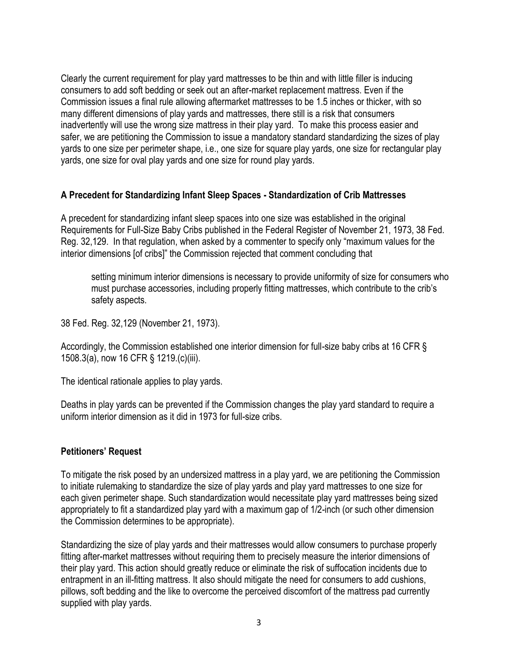Clearly the current requirement for play yard mattresses to be thin and with little filler is inducing consumers to add soft bedding or seek out an after-market replacement mattress. Even if the Commission issues a final rule allowing aftermarket mattresses to be 1.5 inches or thicker, with so many different dimensions of play yards and mattresses, there still is a risk that consumers inadvertently will use the wrong size mattress in their play yard. To make this process easier and safer, we are petitioning the Commission to issue a mandatory standard standardizing the sizes of play yards to one size per perimeter shape, i.e., one size for square play yards, one size for rectangular play yards, one size for oval play yards and one size for round play yards.

#### **A Precedent for Standardizing Infant Sleep Spaces - Standardization of Crib Mattresses**

A precedent for standardizing infant sleep spaces into one size was established in the original Requirements for Full-Size Baby Cribs published in the Federal Register of November 21, 1973, 38 Fed. Reg. 32,129. In that regulation, when asked by a commenter to specify only "maximum values for the interior dimensions [of cribs]" the Commission rejected that comment concluding that

setting minimum interior dimensions is necessary to provide uniformity of size for consumers who must purchase accessories, including properly fitting mattresses, which contribute to the crib's safety aspects.

38 Fed. Reg. 32,129 (November 21, 1973).

Accordingly, the Commission established one interior dimension for full-size baby cribs at 16 CFR § 1508.3(a), now 16 CFR § 1219.(c)(iii).

The identical rationale applies to play yards.

Deaths in play yards can be prevented if the Commission changes the play yard standard to require a uniform interior dimension as it did in 1973 for full-size cribs.

### **Petitioners' Request**

To mitigate the risk posed by an undersized mattress in a play yard, we are petitioning the Commission to initiate rulemaking to standardize the size of play yards and play yard mattresses to one size for each given perimeter shape. Such standardization would necessitate play yard mattresses being sized appropriately to fit a standardized play yard with a maximum gap of 1/2-inch (or such other dimension the Commission determines to be appropriate).

Standardizing the size of play yards and their mattresses would allow consumers to purchase properly fitting after-market mattresses without requiring them to precisely measure the interior dimensions of their play yard. This action should greatly reduce or eliminate the risk of suffocation incidents due to entrapment in an ill-fitting mattress. It also should mitigate the need for consumers to add cushions, pillows, soft bedding and the like to overcome the perceived discomfort of the mattress pad currently supplied with play yards.